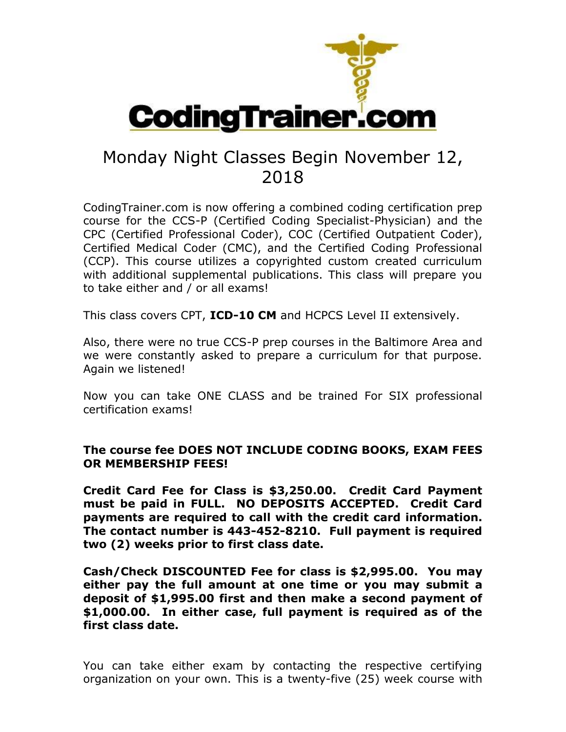

## Monday Night Classes Begin November 12, 2018

CodingTrainer.com is now offering a combined coding certification prep course for the CCS-P (Certified Coding Specialist-Physician) and the CPC (Certified Professional Coder), COC (Certified Outpatient Coder), Certified Medical Coder (CMC), and the Certified Coding Professional (CCP). This course utilizes a copyrighted custom created curriculum with additional supplemental publications. This class will prepare you to take either and / or all exams!

This class covers CPT, **ICD-10 CM** and HCPCS Level II extensively.

Also, there were no true CCS-P prep courses in the Baltimore Area and we were constantly asked to prepare a curriculum for that purpose. Again we listened!

Now you can take ONE CLASS and be trained For SIX professional certification exams!

## **The course fee DOES NOT INCLUDE CODING BOOKS, EXAM FEES OR MEMBERSHIP FEES!**

**Credit Card Fee for Class is \$3,250.00. Credit Card Payment must be paid in FULL. NO DEPOSITS ACCEPTED. Credit Card payments are required to call with the credit card information. The contact number is 443-452-8210. Full payment is required two (2) weeks prior to first class date.**

**Cash/Check DISCOUNTED Fee for class is \$2,995.00. You may either pay the full amount at one time or you may submit a deposit of \$1,995.00 first and then make a second payment of \$1,000.00. In either case, full payment is required as of the first class date.**

You can take either exam by contacting the respective certifying organization on your own. This is a twenty-five (25) week course with